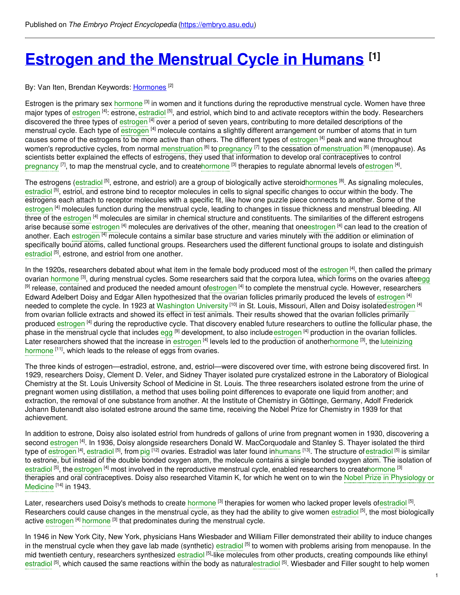# **Estrogen and the [Menstrual](https://embryo.asu.edu/pages/estrogen-and-menstrual-cycle-humans) Cycle in Humans [1]**

#### By: Van Iten, Brendan Keywords: <u>[Hormones](https://embryo.asu.edu/keywords/hormones)</u> <sup>[2]</sup>

Estrogen is the primary sex [hormone](https://embryo.asu.edu/search?text=hormone) <sup>[3]</sup> in women and it functions during the reproductive menstrual cycle. Women have three major types of [estrogen](https://embryo.asu.edu/search?text=estrogen) <sup>[4]</sup>: estrone, [estradiol](https://embryo.asu.edu/search?text=estradiol) <sup>[5]</sup>, and estriol, which bind to and activate receptors within the body. Researchers discovered the three types of [estrogen](https://embryo.asu.edu/search?text=estrogen) <sup>[4]</sup> over a period of seven years, contributing to more detailed descriptions of the menstrual cycle. Each type of [estrogen](https://embryo.asu.edu/search?text=estrogen) <sup>[4]</sup> molecule contains a slightly different arrangement or number of atoms that in turn causes some of the [estrogen](https://embryo.asu.edu/search?text=estrogen)s to be more active than others. The different types of estrogen <sup>[4]</sup> peak and wane throughout women's reproductive cycles, from normal [menstruation](https://embryo.asu.edu/search?text=menstruation) <sup>[6]</sup> to [pregnancy](https://embryo.asu.edu/search?text=pregnancy) <sup>[7]</sup> to the cessation of menstruation <sup>[6]</sup> (menopause). As scientists better explained the effects of estrogens, they used that information to develop oral contraceptives to control [pregnancy](https://embryo.asu.edu/search?text=pregnancy) [7], to map the menstrual cycle, and to creat[ehormone](https://embryo.asu.edu/search?text=hormone) [3] therapies to regulate abnormal levels of [estrogen](https://embryo.asu.edu/search?text=estrogen) [4].

The estrogens [\(estradiol](https://embryo.asu.edu/search?text=estradiol) <sup>[5]</sup>, estrone, and estriol) are a group of biologically active steroi[dhormones](https://embryo.asu.edu/search?text=hormones) <sup>[8]</sup>. As signaling molecules, [estradiol](https://embryo.asu.edu/search?text=estradiol) <sup>[5]</sup>, estriol, and estrone bind to receptor molecules in cells to signal specific changes to occur within the body. The estrogens each attach to receptor molecules with a specific fit, like how one puzzle piece connects to another. Some of the [estrogen](https://embryo.asu.edu/search?text=estrogen) <sup>[4]</sup> molecules function during the menstrual cycle, leading to changes in tissue thickness and menstrual bleeding. All three of the [estrogen](https://embryo.asu.edu/search?text=estrogen) [4] molecules are similar in chemical structure and constituents. The similarities of the different estrogens arise because some [estrogen](https://embryo.asu.edu/search?text=estrogen) <sup>[4]</sup> molecules are derivatives of the other, meaning that oneestrogen <sup>[4]</sup> can lead to the creation of another. Each [estrogen](https://embryo.asu.edu/search?text=estrogen) <sup>[4]</sup> molecule contains a similar base structure and varies minutely with the addition or elimination of specifically bound atoms, called functional groups. Researchers used the different functional groups to isolate and distinguish [estradiol](https://embryo.asu.edu/search?text=estradiol)<sup>[5]</sup>, estrone, and estriol from one another.

In the 1920s, researchers debated about what item in the female body produced most of the [estrogen](https://embryo.asu.edu/search?text=estrogen) [4], then called the primary ovarian [hormone](https://embryo.asu.edu/search?text=hormone) <sup>[3]</sup>, during menstrual cycles. Some researchers said that the corpora lutea, which forms on the ovaries afte[regg](https://embryo.asu.edu/search?text=egg) <sup>[9]</sup> release, contained and produced the needed amount o[festrogen](https://embryo.asu.edu/search?text=estrogen) <sup>[4]</sup> to complete the menstrual cycle. However, researchers Edward Adelbert Doisy and Edgar Allen hypothesized that the ovarian follicles primarily produced the levels of [estrogen](https://embryo.asu.edu/search?text=estrogen) [4] needed to complete the cycle. In 1923 at [Washington](https://embryo.asu.edu/search?text=Washington%20University) University <sup>[10]</sup> in St. Louis, Missouri, Allen and Doisy isolated[estrogen](https://embryo.asu.edu/search?text=estrogen) <sup>[4]</sup> from ovarian follicle extracts and showed its effect in test animals. Their results showed that the ovarian follicles primarily produced [estrogen](https://embryo.asu.edu/search?text=estrogen) <sup>[4]</sup> during the reproductive cycle. That discovery enabled future researchers to outline the follicular phase, the phase in the menstrual cycle that includes [egg](https://embryo.asu.edu/search?text=egg) <sup>[9]</sup> development, to also include [estrogen](https://embryo.asu.edu/search?text=estrogen) <sup>[4]</sup> production in the ovarian follicles. Later researchers showed that the increase in [estrogen](https://embryo.asu.edu/search?text=estrogen) <sup>[4]</sup> levels led to the production of [anotherh](https://embryo.asu.edu/search?text=luteinizing%20hormone)[ormon](https://embryo.asu.edu/search?text=hormone)[e](https://embryo.asu.edu/search?text=luteinizing%20hormone) <sup>[3]</sup>, the luteinizing hormone [11], which leads to the release of eggs from ovaries.

The three kinds of estrogen—estradiol, estrone, and, estriol—were discovered over time, with estrone being discovered first. In 1929, researchers Doisy, Clement D. Veler, and Sidney Thayer isolated pure crystalized estrone in the Laboratory of Biological Chemistry at the St. Louis University School of Medicine in St. Louis. The three researchers isolated estrone from the urine of pregnant women using distillation, a method that uses boiling point differences to evaporate one liquid from another; and extraction, the removal of one substance from another. At the Institute of Chemistry in Göttinge, Germany, Adolf Frederick Johann Butenandt also isolated estrone around the same time, receiving the Nobel Prize for Chemistry in 1939 for that achievement.

In addition to estrone, Doisy also isolated estriol from hundreds of gallons of urine from pregnant women in 1930, discovering a second [estrogen](https://embryo.asu.edu/search?text=estrogen) <sup>[4]</sup>. In 1936, Doisy alongside researchers Donald W. MacCorquodale and Stanley S. Thayer isolated the third type of [estrogen](https://embryo.asu.edu/search?text=estrogen) <sup>[4]</sup>, [estradiol](https://embryo.asu.edu/search?text=estradiol) <sup>[5]</sup>, from [pig](https://embryo.asu.edu/search?text=pig) <sup>[12]</sup> ovaries. Estradiol was later found i[nhumans](https://embryo.asu.edu/search?text=humans) <sup>[13]</sup>. The structure of estradiol <sup>[5]</sup> is similar to estrone, but instead of the double bonded oxygen atom, the molecule contains a single bonded oxygen atom. The isolation of [estradiol](https://embryo.asu.edu/search?text=estradiol) <sup>[5]</sup>, the [estrogen](https://embryo.asu.edu/search?text=estrogen) <sup>[4]</sup> most involved in the reproductive menstrual cycle, enabled researchers to creat[ehormone](https://embryo.asu.edu/search?text=hormone) <sup>[3]</sup> therapies and oral [contraceptives.](https://embryo.asu.edu/search?text=Nobel%20Prize%20in%20Physiology%20or%20Medicine) Doisy also researched Vitamin K, for which he went on to win the Nobel Prize in Physiology or Medicine<sup>[14]</sup> in 1943.

Later, researchers used Doisy's methods to create [hormone](https://embryo.asu.edu/search?text=hormone) <sup>[3]</sup> therapies for women who lacked proper levels of[estradiol](https://embryo.asu.edu/search?text=estradiol) <sup>[5]</sup>. Researchers could cause changes in the menstrual cycle, as they had the ability to give women [estradiol](https://embryo.asu.edu/search?text=estradiol) <sup>[5]</sup>, the most biologically active [estrogen](https://embryo.asu.edu/search?text=estrogen) <sup>[4]</sup> [hormone](https://embryo.asu.edu/search?text=hormone) <sup>[3]</sup> that predominates during the menstrual cycle.

In 1946 in New York City, New York, physicians Hans Wiesbader and William Filler demonstrated their ability to induce changes in the menstrual cycle when they gave lab made (synthetic) [estradiol](https://embryo.asu.edu/search?text=estradiol) <sup>[5]</sup> to women with problems arising from menopause. In the mid twentieth century, researchers synthesized [estradiol](https://embryo.asu.edu/search?text=estradiol) <sup>[5]</sup>-like molecules from other products, creating compounds like ethinyl [estradiol](https://embryo.asu.edu/search?text=estradiol) <sup>[5]</sup>, which caused the same reactions within the body as naturalestradiol <sup>[5]</sup>. Wiesbader and Filler sought to help women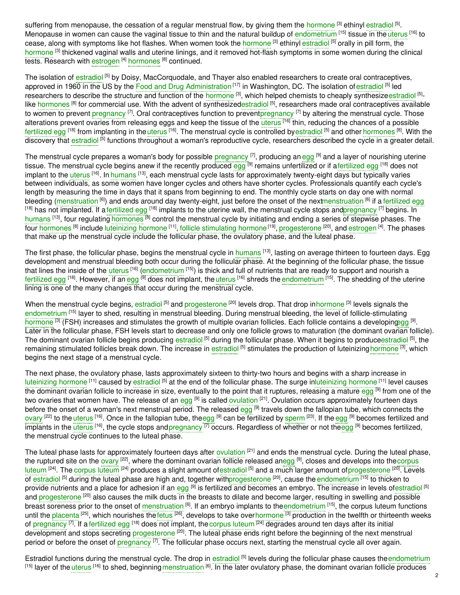suffering from menopause, the cessation of a regular menstrual flow, by giving them the [hormone](https://embryo.asu.edu/search?text=hormone) <sup>[3]</sup> ethinyl [estradiol](https://embryo.asu.edu/search?text=estradiol) <sup>[5]</sup>. Menopause in women can cause the vaginal tissue to thin and the natural buildup of [endometrium](https://embryo.asu.edu/search?text=endometrium) <sup>[15]</sup> tissue in the [uterus](https://embryo.asu.edu/search?text=uterus) <sup>[16]</sup> to cease, along with symptoms like hot flashes. When women took the [hormone](https://embryo.asu.edu/search?text=hormone) <sup>[3]</sup> ethinyl [estradiol](https://embryo.asu.edu/search?text=estradiol) <sup>[5]</sup> orally in pill form, the [hormone](https://embryo.asu.edu/search?text=hormone) <sup>[3]</sup> thickened vaginal walls and uterine linings, and it removed hot-flash symptoms in some women during the clinical tests. Research with [estrogen](https://embryo.asu.edu/search?text=estrogen) <sup>[4]</sup> [hormones](https://embryo.asu.edu/search?text=hormones) <sup>[8]</sup> continued.

The isolation of [estradiol](https://embryo.asu.edu/search?text=estradiol) <sup>[5]</sup> by Doisy, MacCorquodale, and Thayer also enabled researchers to create oral contraceptives, approved in 1960 in the US by the Food and Drug [Administration](https://embryo.asu.edu/search?text=Food%20and%20Drug%20Administration)<sup>[17]</sup> in Washington, DC. The isolation of [estradiol](https://embryo.asu.edu/search?text=estradiol) <sup>[5]</sup> led researchers to describe the structure and function of the [hormone](https://embryo.asu.edu/search?text=hormone) <sup>[3]</sup>, which helped chemists to cheaply synthesize[estradiol](https://embryo.asu.edu/search?text=estradiol) <sup>[5]</sup>like [hormones](https://embryo.asu.edu/search?text=hormones) <sup>[8]</sup> for commercial use. With the advent of synthesize[destradiol](https://embryo.asu.edu/search?text=estradiol) <sup>[5]</sup>, researchers made oral contraceptives available to women to prevent [pregnancy](https://embryo.asu.edu/search?text=pregnancy) <sup>[7]</sup>. Oral contraceptives function to preven[tpregnancy](https://embryo.asu.edu/search?text=pregnancy) <sup>[7]</sup> by altering the menstrual cycle. Those alterations prevent ovaries from releasing eggs and keep the tissue of the [uterus](https://embryo.asu.edu/search?text=uterus) <sup>[16]</sup> thin, reducing the chances of a possible [fertilized](https://embryo.asu.edu/search?text=fertilized%20egg) egg <sup>[18]</sup> from implanting in the [uterus](https://embryo.asu.edu/search?text=uterus) <sup>[16]</sup>. The menstrual cycle is controlled by[estradiol](https://embryo.asu.edu/search?text=estradiol) <sup>[5]</sup> and other [hormones](https://embryo.asu.edu/search?text=hormones) <sup>[8]</sup>. With the discovery that [estradiol](https://embryo.asu.edu/search?text=estradiol) <sup>[5]</sup> functions throughout a woman's reproductive cycle, researchers described the cycle in a greater detail.

The menstrual cycle prepares a woman's body for possible [pregnancy](https://embryo.asu.edu/search?text=pregnancy) <sup>[7]</sup>, producing an [egg](https://embryo.asu.edu/search?text=egg) <sup>[9]</sup> and a layer of nourishing uterine tissue. The menstrual cycle begins anew if the recently produced [egg](https://embryo.asu.edu/search?text=egg) <sup>[9]</sup> remains un[fertilized](https://embryo.asu.edu/search?text=fertilized%20egg) or if afertilized egg <sup>[18]</sup> does not implant to the [uterus](https://embryo.asu.edu/search?text=uterus) <sup>[16]</sup>. In [humans](https://embryo.asu.edu/search?text=humans) <sup>[13]</sup>, each menstrual cycle lasts for approximately twenty-eight days but typically varies between individuals, as some women have longer cycles and others have shorter cycles. Professionals quantify each cycle's length by measuring the time in days that it spans from beginning to end. The monthly cycle starts on day one with normal bleeding [\(menstruation](https://embryo.asu.edu/search?text=menstruation) <sup>[6]</sup>) and ends around day twenty-eight, just before the onset of the nex[tmenstruation](https://embryo.asu.edu/search?text=menstruation) <sup>[6]</sup> if a [fertilized](https://embryo.asu.edu/search?text=fertilized%20egg) egg <sup>[18]</sup> has not implanted. If a [fertilized](https://embryo.asu.edu/search?text=fertilized%20egg) egg <sup>[18]</sup> implants to the uterine wall, the menstrual cycle stops an[dpregnancy](https://embryo.asu.edu/search?text=pregnancy) <sup>[7]</sup> begins. In [humans](https://embryo.asu.edu/search?text=humans) [13], four regulating [hormones](https://embryo.asu.edu/search?text=hormones) [8] control the menstrual cycle by initiating and ending a series of stepwise phases. The four [hormones](https://embryo.asu.edu/search?text=hormones) <sup>[8]</sup> include [luteinizing](https://embryo.asu.edu/search?text=luteinizing%20hormone) hormone <sup>[11]</sup>, follicle [stimulating](https://embryo.asu.edu/search?text=follicle%20stimulating%20hormone) hormone<sup>[19]</sup>, [progesterone](https://embryo.asu.edu/search?text=progesterone) <sup>[20]</sup>, and [estrogen](https://embryo.asu.edu/search?text=estrogen) <sup>[4]</sup>. The phases that make up the menstrual cycle include the follicular phase, the ovulatory phase, and the luteal phase.

The first phase, the follicular phase, begins the menstrual cycle in h<mark>umans [13], lasting on average thirteen to fourteen days. Egg</mark> development and menstrual bleeding both occur during the follicular phase. At the beginning of the follicular phase, the tissue that lines the inside of the [uterus](https://embryo.asu.edu/search?text=uterus) <sup>[16]</sup> [\(endometrium](https://embryo.asu.edu/search?text=endometrium) <sup>[15]</sup>) is thick and full of nutrients that are ready to support and nourish a [fertilized](https://embryo.asu.edu/search?text=fertilized%20egg) [egg](https://embryo.asu.edu/search?text=egg) <sup>[18]</sup>. However, if an egg <sup>[9]</sup> does not implant, the [uterus](https://embryo.asu.edu/search?text=uterus) <sup>[16]</sup> shreds the [endometrium](https://embryo.asu.edu/search?text=endometrium) <sup>[15]</sup>. The shedding of the uterine lining is one of the many changes that occur during the menstrual cycle.

When the menstrual cycle begins, [estradiol](https://embryo.asu.edu/search?text=estradiol) <sup>[5]</sup> and [progesterone](https://embryo.asu.edu/search?text=progesterone) <sup>[20]</sup> levels drop. That drop in[hormone](https://embryo.asu.edu/search?text=hormone) <sup>[3]</sup> levels signals the [endometrium](https://embryo.asu.edu/search?text=endometrium) <sup>[15]</sup> layer to shed, resulting in menstrual bleeding. During menstrual bleeding, the level of follicle-stimulating [hormone](https://embryo.asu.edu/search?text=hormone) [3] (FSH) increases and stimulates the growth of multiple ovarian follicles. Each follicle contains a developin[gegg](https://embryo.asu.edu/search?text=egg) [9]. Later in the follicular phase, FSH levels start to decrease and only one follicle grows to maturation (the dominant ovarian follicle). The dominant ovarian follicle begins producing [estradiol](https://embryo.asu.edu/search?text=estradiol) <sup>[5]</sup> during the follicular phase. When it begins to produc[eestradiol](https://embryo.asu.edu/search?text=estradiol) <sup>[5]</sup>, the remaining stimulated follicles break down. The increase in [estradiol](https://embryo.asu.edu/search?text=estradiol) [5] stimulates the production of luteinizing [hormone](https://embryo.asu.edu/search?text=hormone) [3], which begins the next stage of a menstrual cycle.

The next phase, the ovulatory phase, lasts approximately sixteen to thirty-two hours and begins with a sharp increase in [luteinizing](https://embryo.asu.edu/search?text=luteinizing%20hormone) hormone <sup>[11]</sup> caused by [estradiol](https://embryo.asu.edu/search?text=estradiol) <sup>[5]</sup> at the end of the follicular phase. The surge i[nluteinizing](https://embryo.asu.edu/search?text=luteinizing%20hormone) hormone <sup>[11]</sup> level causes the dominant ovarian follicle to increase in size, eventually to the point that it ruptures, releasing a mature [egg](https://embryo.asu.edu/search?text=egg) <sup>[9]</sup> from one of the two ovaries that women have. The release of an [egg](https://embryo.asu.edu/search?text=egg) <sup>[9]</sup> is called [ovulation](https://embryo.asu.edu/search?text=ovulation) <sup>[21]</sup>. Ovulation occurs approximately fourteen days before the onset of a woman's next menstrual period. The released [egg](https://embryo.asu.edu/search?text=egg) <sup>[9]</sup> travels down the fallopian tube, which connects the [ovary](https://embryo.asu.edu/search?text=ovary) <sup>[22]</sup> to the [uterus](https://embryo.asu.edu/search?text=uterus) <sup>[16]</sup>. Once in the fallopian tube, th[eegg](https://embryo.asu.edu/search?text=egg) <sup>[9]</sup> can be fertilized by [sperm](https://embryo.asu.edu/search?text=sperm) <sup>[23]</sup>. If the [egg](https://embryo.asu.edu/search?text=egg) <sup>[9]</sup> becomes fertilized and implants in the [uterus](https://embryo.asu.edu/search?text=uterus) <sup>[16]</sup>, the cycle stops and[pregnancy](https://embryo.asu.edu/search?text=pregnancy) <sup>[7]</sup> occurs. Regardless of whether or not th[eegg](https://embryo.asu.edu/search?text=egg) <sup>[9]</sup> becomes fertilized, the menstrual cycle continues to the luteal phase.

The luteal phase lasts for approximately fourteen days after [ovulation](https://embryo.asu.edu/search?text=ovulation) <sup>[21]</sup> and ends the menstrual cycle. During the luteal phase, the ruptured site on the [ovary](https://embryo.asu.edu/search?text=ovary) <sup>[22]</sup>, where the dominant ovarian follicle released a[negg](https://embryo.asu.edu/search?text=egg) <sup>[9]</sup>, closes and develops into thecorpus luteum <sup>[24]</sup>. The [corpus](https://embryo.asu.edu/search?text=corpus%20luteum) luteum <sup>[24]</sup> produces a slight amount of[estradiol](https://embryo.asu.edu/search?text=estradiol) <sup>[5]</sup> and a much larger amount [ofprogesterone](https://embryo.asu.edu/search?text=corpus%20luteum) <sup>[20]</sup>. Levels of [estradiol](https://embryo.asu.edu/search?text=estradiol) <sup>[5]</sup> during the luteal phase are high and, together wit[hprogesterone](https://embryo.asu.edu/search?text=progesterone) <sup>[20]</sup>, cause the [endometrium](https://embryo.asu.edu/search?text=endometrium) <sup>[15]</sup> to thicken to provide nutrients and a place for adhesion if an [egg](https://embryo.asu.edu/search?text=egg) <sup>[9]</sup> is fertilized and becomes an embryo. The increase in levels of[estradiol](https://embryo.asu.edu/search?text=estradiol) <sup>[5]</sup> and [progesterone](https://embryo.asu.edu/search?text=progesterone) <sup>[20]</sup> also causes the milk ducts in the breasts to dilate and become larger, resulting in swelling and possible breast soreness prior to the onset of [menstruation](https://embryo.asu.edu/search?text=menstruation) <sup>[6]</sup>. If an embryo implants to th[eendometrium](https://embryo.asu.edu/search?text=endometrium) <sup>[15]</sup>, the corpus luteum functions until the [placenta](https://embryo.asu.edu/search?text=placenta) <sup>(25)</sup>, which nourishes the[fetus](https://embryo.asu.edu/search?text=fetus) <sup>(26)</sup>, develops to take over[hormone](https://embryo.asu.edu/search?text=hormone) <sup>[3]</sup> production in the twelfth or thirteenth weeks of [pregnancy](https://embryo.asu.edu/search?text=pregnancy) <sup>[7]</sup>. If a [fertilized](https://embryo.asu.edu/search?text=fertilized%20egg) egg <sup>[18]</sup> does not implant, the [corpus](https://embryo.asu.edu/search?text=corpus%20luteum) luteum <sup>[24]</sup> degrades around ten days after its initial development and stops secreting [progesterone](https://embryo.asu.edu/search?text=progesterone) <sup>[20]</sup>. The luteal phase ends right before the beginning of the next menstrual period or before the onset of [pregnancy](https://embryo.asu.edu/search?text=pregnancy) <sup>[7]</sup>. The follicular phase occurs next, starting the menstrual cycle all over again.

Estradiol functions during the menstrual cycle. The drop in [estradiol](https://embryo.asu.edu/search?text=estradiol) <sup>[5]</sup> levels during the follicular phase causes the [endometrium](https://embryo.asu.edu/search?text=endometrium) <sup>[15]</sup> layer of the [uterus](https://embryo.asu.edu/search?text=uterus) <sup>[16]</sup> to shed, beginning [menstruation](https://embryo.asu.edu/search?text=menstruation) <sup>[6]</sup>. In the later ovulatory phase, the dominant ovarian follicle produces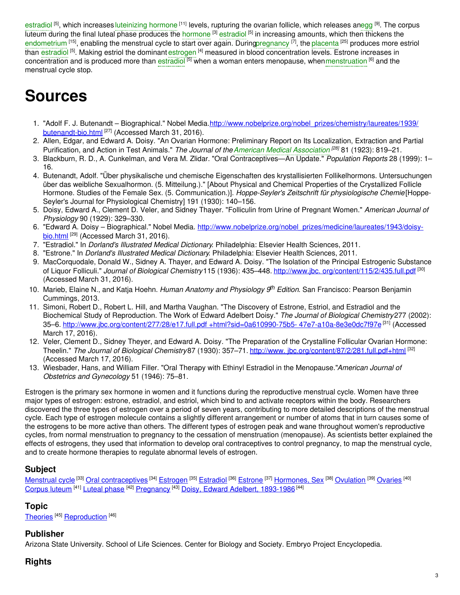[estradiol](https://embryo.asu.edu/search?text=estradiol) <sup>[5]</sup>, which increases [luteinizing](https://embryo.asu.edu/search?text=luteinizing%20hormone) hormone <sup>[11]</sup> levels, rupturing the ovarian follicle, which releases a[negg](https://embryo.asu.edu/search?text=egg) <sup>[9]</sup>. The corpus luteum during the final luteal phase produces the [hormone](https://embryo.asu.edu/search?text=hormone) <sup>[3]</sup> [estradiol](https://embryo.asu.edu/search?text=estradiol) <sup>[5]</sup> in increasing amounts, which then thickens the [endometrium](https://embryo.asu.edu/search?text=endometrium) <sup>[15]</sup>, enabling the menstrual cycle to start over again. Durin[gpregnancy](https://embryo.asu.edu/search?text=pregnancy) [7], the [placenta](https://embryo.asu.edu/search?text=placenta) [25] produces more estriol than <mark>[estradiol](https://embryo.asu.edu/search?text=estradiol) <sup>[5]</sup>. Making estriol the dominant [estrogen](https://embryo.asu.edu/search?text=estrogen) <sup>[4]</sup> measured in blood concentration levels. Estrone increases in</mark> concentration and is produced more than [estradiol](https://embryo.asu.edu/search?text=estradiol) <sup>[5]</sup> when a woman enters menopause, when[menstruation](https://embryo.asu.edu/search?text=menstruation) <sup>[6]</sup> and the menstrual cycle stop.

# **Sources**

- 1. "Adolf F. J. Butenandt Biographical." Nobel [Media.http://www.nobelprize.org/nobel\\_prizes/chemistry/laureates/1939/](http://www.nobelprize.org/nobel_prizes/chemistry/laureates/1939/butenandt-bio.html) butenandt-bio.html [27] (Accessed March 31, 2016).
- 2. Allen, Edgar, and Edward A. Doisy. "An Ovarian Hormone: Preliminary Report on Its Localization, Extraction and Partial Purification, and Action in Test Animals." *The Journal of theAmerican Medical [Association](https://embryo.asu.edu/search?text=American%20Medical%20Association) [28]* 81 (1923): 819–21.
- 3. Blackburn, R. D., A. Cunkelman, and Vera M. Zlidar. "Oral Contraceptives—An Update." *Population Reports* 28 (1999): 1– 16.
- 4. Butenandt, Adolf. "Über physikalische und chemische Eigenschaften des krystallisierten Follikelhormons. Untersuchungen über das weibliche Sexualhormon. (5. Mitteilung.)." [About Physical and Chemical Properties of the Crystallized Follicle Hormone. Studies of the Female Sex. (5. Communication.)]. *Hoppe-Seyler's Zeitschrift für physiologische Chemie*[Hoppe-Seyler's Journal for Physiological Chemistry] 191 (1930): 140–156.
- 5. Doisy, Edward A., Clement D. Veler, and Sidney Thayer. "Folliculin from Urine of Pregnant Women." *American Journal of Physiology* 90 (1929): 329–330.
- 6. "Edward A. Doisy Biographical." Nobel Media. [http://www.nobelprize.org/nobel\\_prizes/medicine/laureates/1943/doisy](http://www.nobelprize.org/nobel_prizes/medicine/laureates/1943/doisy-%0Abio.html)bio.html [29] (Accessed March 31, 2016).
- 7. "Estradiol." In *Dorland's Illustrated Medical Dictionary*. Philadelphia: Elsevier Health Sciences, 2011.
- 8. "Estrone." In *Dorland's Illustrated Medical Dictionary*. Philadelphia: Elsevier Health Sciences, 2011.
- 9. MacCorquodale, Donald W., Sidney A. Thayer, and Edward A. Doisy. "The Isolation of the Principal Estrogenic Substance of Liquor Folliculi." *Journal of Biological Chemistry*115 (1936): 435–448. http://www.jbc. [org/content/115/2/435.full.pdf](http://www.jbc.org/content/115/2/435.full.pdf) [30] (Accessed March 31, 2016).
- 10. Marieb, Elaine N., and Katja Hoehn. *Human Anatomy and Physiology 9 th Edition*. San Francisco: Pearson Benjamin Cummings, 2013.
- 11. Simoni, Robert D., Robert L. Hill, and Martha Vaughan. "The Discovery of Estrone, Estriol, and Estradiol and the Biochemical Study of Reproduction. The Work of Edward Adelbert Doisy." *The Journal of Biological Chemistry*277 (2002): 35–6. [http://www.jbc.org/content/277/28/e17.full.pdf](http://www.jbc.org/content/277/28/e17.full.pdf+html?sid=0a610990%0A-75b5-%0A47e7-a10a-8e3e0dc7f97e) +html?sid=0a610990-75b5- 47e7-a10a-8e3e0dc7f97e [31] (Accessed March 17, 2016).
- 12. Veler, Clement D., Sidney Theyer, and Edward A. Doisy. "The Preparation of the Crystalline Follicular Ovarian Hormone: Theelin." *The Journal of Biological Chemistry*87 (1930): 357–71. http://www. [jbc.org/content/87/2/281.full.pdf+html](http://www.jbc.org/content/87/2/281.full.pdf+html) [32] (Accessed March 17, 2016).
- 13. Wiesbader, Hans, and William Filler. "Oral Therapy with Ethinyl Estradiol in the Menopause."*American Journal of Obstetrics and Gynecology* 51 (1946): 75–81.

Estrogen is the primary sex hormone in women and it functions during the reproductive menstrual cycle. Women have three major types of estrogen: estrone, estradiol, and estriol, which bind to and activate receptors within the body. Researchers discovered the three types of estrogen over a period of seven years, contributing to more detailed descriptions of the menstrual cycle. Each type of estrogen molecule contains a slightly different arrangement or number of atoms that in turn causes some of the estrogens to be more active than others. The different types of estrogen peak and wane throughout women's reproductive cycles, from normal menstruation to pregnancy to the cessation of menstruation (menopause). As scientists better explained the effects of estrogens, they used that information to develop oral contraceptives to control pregnancy, to map the menstrual cycle, and to create hormone therapies to regulate abnormal levels of estrogen.

# **Subject**

<u>[Menstrual](https://embryo.asu.edu/library-congress-subject-headings/menstrual-cycle) cycle [33] Oral [contraceptives](https://embryo.asu.edu/library-congress-subject-headings/oral-contraceptives)</u> [34] <u>[Estrogen](https://embryo.asu.edu/library-congress-subject-headings/estrogen) [35] [Estradiol](https://embryo.asu.edu/library-congress-subject-headings/estradiol) [36] [Estrone](https://embryo.asu.edu/library-congress-subject-headings/estrone)</u> [37] <u>[Hormones,](https://embryo.asu.edu/library-congress-subject-headings/hormones-sex) Sex [38] [Ovulation](https://embryo.asu.edu/library-congress-subject-headings/ovulation) [39] [Ovaries](https://embryo.asu.edu/library-congress-subject-headings/ovaries)</u> [40] [Corpus](https://embryo.asu.edu/library-congress-subject-headings/corpus-luteum) luteum <sup>[41]</sup> [Luteal](https://embryo.asu.edu/library-congress-subject-headings/luteal-phase) phase <sup>[42]</sup> [Pregnancy](https://embryo.asu.edu/library-congress-subject-headings/pregnancy) <sup>[43]</sup> Doisy, Edward Adelbert, [1893-1986](https://embryo.asu.edu/library-congress-subject-headings/doisy-edward-adelbert-1893-1986) <sup>[44]</sup>

# **Topic**

[Theories](https://embryo.asu.edu/topics/theories)<sup>[45]</sup> [Reproduction](https://embryo.asu.edu/topics/reproduction)<sup>[46]</sup>

### **Publisher**

Arizona State University. School of Life Sciences. Center for Biology and Society. Embryo Project Encyclopedia.

### **Rights**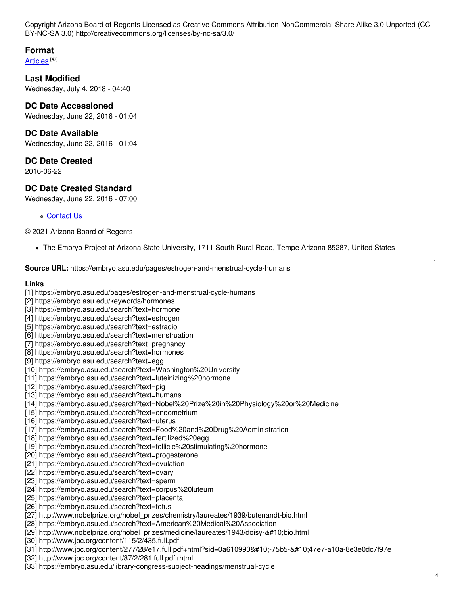Copyright Arizona Board of Regents Licensed as Creative Commons Attribution-NonCommercial-Share Alike 3.0 Unported (CC BY-NC-SA 3.0) http://creativecommons.org/licenses/by-nc-sa/3.0/

# **Format**

<u>[Articles](https://embryo.asu.edu/formats/articles)</u> [47]

**Last Modified** Wednesday, July 4, 2018 - 04:40

### **DC Date Accessioned**

Wednesday, June 22, 2016 - 01:04

## **DC Date Available**

Wednesday, June 22, 2016 - 01:04

#### **DC Date Created**

2016-06-22

# **DC Date Created Standard**

Wednesday, June 22, 2016 - 07:00

[Contact](https://embryo.asu.edu/contact) Us

#### © 2021 Arizona Board of Regents

The Embryo Project at Arizona State University, 1711 South Rural Road, Tempe Arizona 85287, United States

**Source URL:** https://embryo.asu.edu/pages/estrogen-and-menstrual-cycle-humans

#### **Links**

[1] https://embryo.asu.edu/pages/estrogen-and-menstrual-cycle-humans

- [2] https://embryo.asu.edu/keywords/hormones
- [3] https://embryo.asu.edu/search?text=hormone
- [4] https://embryo.asu.edu/search?text=estrogen
- [5] https://embryo.asu.edu/search?text=estradiol
- [6] https://embryo.asu.edu/search?text=menstruation
- [7] https://embryo.asu.edu/search?text=pregnancy
- [8] https://embryo.asu.edu/search?text=hormones
- [9] https://embryo.asu.edu/search?text=egg
- [10] https://embryo.asu.edu/search?text=Washington%20University
- [11] https://embryo.asu.edu/search?text=luteinizing%20hormone
- [12] https://embryo.asu.edu/search?text=pig
- [13] https://embryo.asu.edu/search?text=humans
- [14] https://embryo.asu.edu/search?text=Nobel%20Prize%20in%20Physiology%20or%20Medicine
- [15] https://embryo.asu.edu/search?text=endometrium
- [16] https://embryo.asu.edu/search?text=uterus
- [17] https://embryo.asu.edu/search?text=Food%20and%20Drug%20Administration
- [18] https://embryo.asu.edu/search?text=fertilized%20egg
- [19] https://embryo.asu.edu/search?text=follicle%20stimulating%20hormone
- [20] https://embryo.asu.edu/search?text=progesterone
- [21] https://embryo.asu.edu/search?text=ovulation
- [22] https://embryo.asu.edu/search?text=ovary
- [23] https://embryo.asu.edu/search?text=sperm
- [24] https://embryo.asu.edu/search?text=corpus%20luteum
- [25] https://embryo.asu.edu/search?text=placenta
- [26] https://embryo.asu.edu/search?text=fetus
- [27] http://www.nobelprize.org/nobel\_prizes/chemistry/laureates/1939/butenandt-bio.html
- [28] https://embryo.asu.edu/search?text=American%20Medical%20Association
- [29] http://www.nobelprize.org/nobel\_prizes/medicine/laureates/1943/doisybio.html
- [30] http://www.jbc.org/content/115/2/435.full.pdf
- [31] http://www.jbc.org/content/277/28/e17.full.pdf+html?sid=0a610990
-75b547e7-a10a-8e3e0dc7f97e
- [32] http://www.jbc.org/content/87/2/281.full.pdf+html
- [33] https://embryo.asu.edu/library-congress-subject-headings/menstrual-cycle